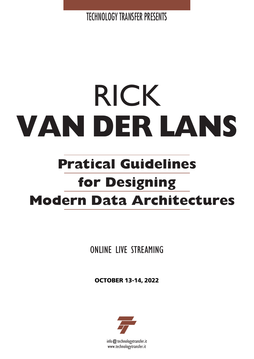TECHNOLOGY TRANSFER PRESENTS

# RICK **VAN DER LANS**

# **Pratical Guidelines for Designing Modern Data Architectures**

ONLINE LIVE STREAMING

**OCTOBER 13-14, 2022**



info@technologytransfer.it www.technologytransfer.it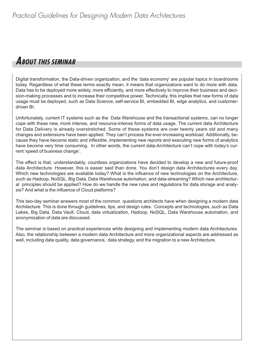## **ABOUT THIS SEMINAR**

Digital transformation, the Data-driven organization, and the 'data economy' are popular topics in boardrooms today. Regardless of what these terms exactly mean, it means that organizations want to do more with data. Data has to be deployed more widely, more efficiently, and more effectively to improve their business and decision-making processes and to increase their competitive power. Technically, this implies that new forms of data usage must be deployed, such as Data Science, self-service BI, embedded BI, edge analytics, and customerdriven BI.

Unfortunately, current IT systems such as the Data Warehouse and the transactional systems, can no longer cope with these new, more intense, and resource-intense forms of data usage. The current data Architecture for Data Delivery is already overstretched. Some of these systems are over twenty years old and many changes and extensions have been applied. They can't process the ever-increasing workload. Additionally, because they have become static and inflexible, implementing new reports and executing new forms of analytics have become very time consuming. In other words, the current data-Architecture can't cope with today's current 'speed of business change'.

The effect is that, understandably, countless organizations have decided to develop a new and future-proof data Architecture. However, this is easier said than done. You don't design data Architectures every day. Which new technologies are available today? What is the influence of new technologies on the Architecture, such as Hadoop, NoSQL, Big Data, Data Warehouse automation, and data-streaming? Which new architectural principles should be applied? How do we handle the new rules and regulations for data storage and analysis? And what is the influence of Cloud platforms?

This two-day seminar answers most of the common questions architects have when designing a modern data Architecture. This is done through guidelines, tips, and design rules. Concepts and technologies, such as Data Lakes, Big Data, Data Vault, Cloud, data virtualization, Hadoop, NoSQL, Data Warehouse automation, and anonymization of data are discussed.

The seminar is based on practical experiences while designing and implementing modern data Architectures. Also, the relationship between a modern data Architecture and more organizational aspects are addressed as well, including data quality, data governance, data strategy, and the migration to a new Architecture.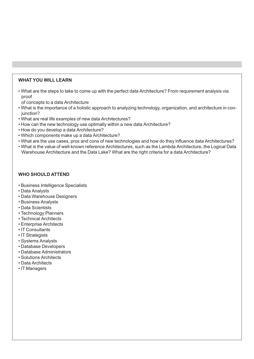#### **WHAT YOU WILL LEARN**

• What are the steps to take to come up with the perfect data Architecture? From requirement analysis via proof

of concepts to a data Architecture

- What is the importance of a holistic approach to analyzing technology, organization, and architecture in conjunction?
- What are real life examples of new data Architectures?
- How can the new technology use optimally within a new data Architecture?
- How do you develop a data Architecture?
- Which components make up a data Architecture?
- What are the use cases, pros and cons of new technologies and how do they influence data Architectures?
- What is the value of well-known reference Architectures, such as the Lambda Architecture, the Logical Data Warehouse Architecture and the Data Lake? What are the right criteria for a data Architecture?

#### **WHO SHOULD ATTEND**

- Business Intelligence Specialists
- Data Analysts
- Data Warehouse Designers
- Business Analysts
- Data Scientists
- Technology Planners
- Technical Architects
- Enterprise Architects
- IT Consultants
- IT Strategists
- Systems Analysts
- Database Developers
- Database Administrators
- Solutions Architects
- Data Architects
- IT Managers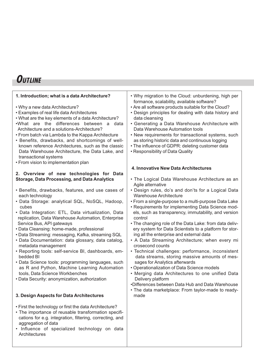# **OUTLINE**

| 1. Introduction; what is a data Architecture?                                                                                                                                                                                                                                                                                                                                                                                                                                                                    | • Why migration to the Cloud: unburdening, high per<br>formance, scalability, available software?                                                                                                                                                                                                                                                                                                                    |
|------------------------------------------------------------------------------------------------------------------------------------------------------------------------------------------------------------------------------------------------------------------------------------------------------------------------------------------------------------------------------------------------------------------------------------------------------------------------------------------------------------------|----------------------------------------------------------------------------------------------------------------------------------------------------------------------------------------------------------------------------------------------------------------------------------------------------------------------------------------------------------------------------------------------------------------------|
| • Why a new data Architecture?<br>• Examples of real life data Architectures<br>. What are the key elements of a data Architecture?<br>.What are the differences between a data<br>Architecture and a solutions-Architecture?<br>• From batch via Lambda to the Kappa Architecture<br>• Benefits, drawbacks, and shortcomings of well-<br>known reference Architectures, such as the classic<br>Data Warehouse Architecture, the Data Lake, and<br>transactional systems<br>• From vision to implementation plan | . Are all software products suitable for the Cloud?<br>• Design principles for dealing with data history and<br>data cleansing<br>• Generating a Data Warehouse Architecture with<br>Data Warehouse Automation tools<br>• New requirements for transactional systems, such<br>as storing historic data and continuous logging<br>• The influence of GDPR: deleting customer data<br>• Responsibility of Data Quality |
|                                                                                                                                                                                                                                                                                                                                                                                                                                                                                                                  | 4. Innovative New Data Architectures                                                                                                                                                                                                                                                                                                                                                                                 |
| 2. Overview of new technologies for Data                                                                                                                                                                                                                                                                                                                                                                                                                                                                         | • The Logical Data Warehouse Architecture as an                                                                                                                                                                                                                                                                                                                                                                      |
| <b>Storage, Data Processing, and Data Analytics</b>                                                                                                                                                                                                                                                                                                                                                                                                                                                              | Agile alternative                                                                                                                                                                                                                                                                                                                                                                                                    |
| • Benefits, drawbacks, features, and use cases of                                                                                                                                                                                                                                                                                                                                                                                                                                                                | • Design rules, do's and don'ts for a Logical Data                                                                                                                                                                                                                                                                                                                                                                   |
| each technology                                                                                                                                                                                                                                                                                                                                                                                                                                                                                                  | <b>Warehouse Architecture</b>                                                                                                                                                                                                                                                                                                                                                                                        |
| · Data Storage: analytical SQL, NoSQL, Hadoop,                                                                                                                                                                                                                                                                                                                                                                                                                                                                   | • From a single-purpose to a multi-purpose Data Lake                                                                                                                                                                                                                                                                                                                                                                 |
| cubes                                                                                                                                                                                                                                                                                                                                                                                                                                                                                                            | • Requirements for implementing Data Science mod-                                                                                                                                                                                                                                                                                                                                                                    |
| · Data Integration: ETL, Data virtualization, Data                                                                                                                                                                                                                                                                                                                                                                                                                                                               | els, such as transparency, immutability, and version                                                                                                                                                                                                                                                                                                                                                                 |
| replication, Data Warehouse Automation, Enterprise                                                                                                                                                                                                                                                                                                                                                                                                                                                               | control                                                                                                                                                                                                                                                                                                                                                                                                              |
| Service Bus, API gateways                                                                                                                                                                                                                                                                                                                                                                                                                                                                                        | • The changing role of the Data Lake: from data deliv-                                                                                                                                                                                                                                                                                                                                                               |
| · Data Cleansing: home-made, professional                                                                                                                                                                                                                                                                                                                                                                                                                                                                        | ery system for Data Scientists to a platform for stor-                                                                                                                                                                                                                                                                                                                                                               |
| • Data Streaming: messaging, Kafka, streaming SQL                                                                                                                                                                                                                                                                                                                                                                                                                                                                | ing all the enterprise and external data                                                                                                                                                                                                                                                                                                                                                                             |
| · Data Documentation: data glossary, data catalog,                                                                                                                                                                                                                                                                                                                                                                                                                                                               | • A Data Streaming Architecture; when every mi                                                                                                                                                                                                                                                                                                                                                                       |
| metadata management                                                                                                                                                                                                                                                                                                                                                                                                                                                                                              | crosecond counts                                                                                                                                                                                                                                                                                                                                                                                                     |
| • Reporting tools: self-service BI, dashboards, em-                                                                                                                                                                                                                                                                                                                                                                                                                                                              | • Technical challenges: performance, inconsistent                                                                                                                                                                                                                                                                                                                                                                    |
| bedded BI                                                                                                                                                                                                                                                                                                                                                                                                                                                                                                        | data streams, storing massive amounts of mes-                                                                                                                                                                                                                                                                                                                                                                        |
| • Data Science tools: programming languages, such                                                                                                                                                                                                                                                                                                                                                                                                                                                                | sages for Analytics afterwards                                                                                                                                                                                                                                                                                                                                                                                       |
| as R and Python, Machine Learning Automation<br>tools, Data Science Workbenches<br>• Data Security: anonymization, authorization                                                                                                                                                                                                                                                                                                                                                                                 | • Operationalization of Data Science models<br>• Merging data Architectures to one unified Data<br>Delivery platform<br>•Differences between Data Hub and Data Warehouse<br>• The data marketplace: From taylor-made to ready-                                                                                                                                                                                       |
| 3. Design Aspects for Data Architectures                                                                                                                                                                                                                                                                                                                                                                                                                                                                         | made                                                                                                                                                                                                                                                                                                                                                                                                                 |
| . First the technology or first the data Architecture?<br>• The importance of reusable transformation specifi-<br>cations for e.g. integration, filtering, correcting, and<br>aggregation of data<br>· Influence of specialized technology on data<br>Architectures                                                                                                                                                                                                                                              |                                                                                                                                                                                                                                                                                                                                                                                                                      |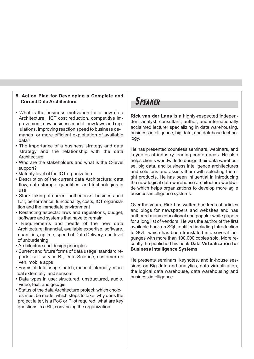#### **5. Action Plan for Developing a Complete and Correct Data Architecture**

- What is the business motivation for a new data Architecture; ICT cost reduction, competitive improvement, new business model, new laws and regulations, improving reaction speed to business demands, or more efficient exploitation of available data?
- The importance of a business strategy and data strategy and the relationship with the data **Architecture**
- Who are the stakeholders and what is the C-level support?
- Maturity level of the ICT organization
- Description of the current data Architecture; data flow, data storage, quantities, and technologies in use
- Stock-taking of current bottlenecks: business and ICT, performance, functionality, costs, ICT organization and the immediate environment
- Restricting aspects: laws and regulations, budget, software and systems that have to remain
- Requirements and needs of the new data Architecture: financial, available expertise, software, quantities, uptime, speed of Data Delivery, and level of unburdening
- Architecture and design principles
- Current and future forms of data usage: standard reports, self-service BI, Data Science, customer-dri ven, mobile apps
- Forms of data usage: batch, manual internally, manual extern ally, and sensors
- Data types in use: structured, unstructured, audio, video, text, and geo/gis
- Status of the data Architecture project: which choices must be made, which steps to take, why does the project falter, is a PoC or Pilot required, what are key questions in a RfI, convincing the organization

# **SPEAKER**

**Rick van der Lans** is a highly-respected independent analyst, consultant, author, and internationally acclaimed lecturer specializing in data warehousing, business intelligence, big data, and database technology.

He has presented countless seminars, webinars, and keynotes at industry-leading conferences. He also helps clients worldwide to design their data warehouse, big data, and business intelligence architectures and solutions and assists them with selecting the right products. He has been influential in introducing the new logical data warehouse architecture worldwide which helps organizations to develop more agile business intelligence systems.

Over the years, Rick has written hundreds of articles and blogs for newspapers and websites and has authored many educational and popular white papers for a long list of vendors. He was the author of the first available book on SQL, entitled including Introduction to SQL, which has been translated into several languages with more than 100,000 copies sold. More recently, he published his book **Data Virtualization for Business Intelligence Systems**.

He presents seminars, keynotes, and in-house sessions on Big data and analytics, data virtualization, the logical data warehouse, data warehousing and business intelligence.